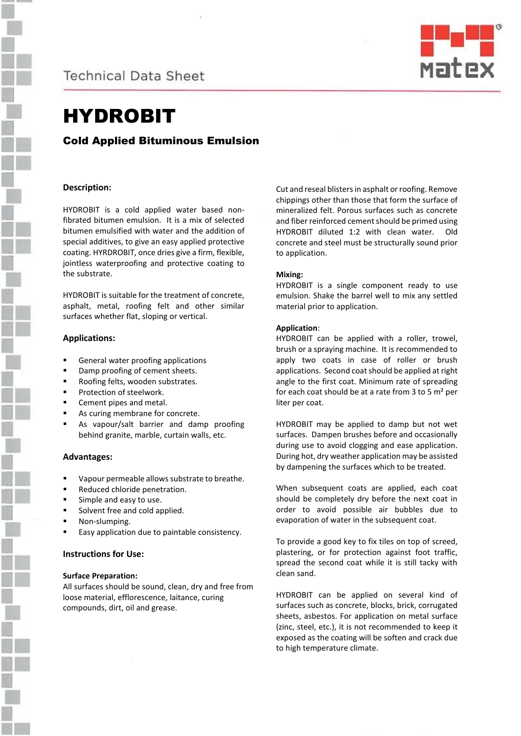



# HYDROBIT

# Cold Applied Bituminous Emulsion

# **Description:**

HYDROBIT is a cold applied water based nonfibrated bitumen emulsion. It is a mix of selected bitumen emulsified with water and the addition of special additives, to give an easy applied protective coating. HYRDROBIT, once dries give a firm, flexible, jointless waterproofing and protective coating to the substrate.

HYDROBIT is suitable for the treatment of concrete, asphalt, metal, roofing felt and other similar surfaces whether flat, sloping or vertical.

### **Applications:**

- General water proofing applications
- Damp proofing of cement sheets.
- Roofing felts, wooden substrates.
- Protection of steelwork.
- Cement pipes and metal.
- As curing membrane for concrete.
- As vapour/salt barrier and damp proofing behind granite, marble, curtain walls, etc.

### **Advantages:**

- Vapour permeable allows substrate to breathe.
- Reduced chloride penetration.
- Simple and easy to use.
- Solvent free and cold applied.
- Non-slumping.
- Easy application due to paintable consistency.

### **Instructions for Use:**

#### **Surface Preparation:**

All surfaces should be sound, clean, dry and free from loose material, efflorescence, laitance, curing compounds, dirt, oil and grease.

Cut and reseal blisters in asphalt or roofing. Remove chippings other than those that form the surface of mineralized felt. Porous surfaces such as concrete and fiber reinforced cement should be primed using HYDROBIT diluted 1:2 with clean water. Old concrete and steel must be structurally sound prior to application.

### **Mixing:**

HYDROBIT is a single component ready to use emulsion. Shake the barrel well to mix any settled material prior to application.

### **Application**:

HYDROBIT can be applied with a roller, trowel, brush or a spraying machine. It is recommended to apply two coats in case of roller or brush applications. Second coat should be applied at right angle to the first coat. Minimum rate of spreading for each coat should be at a rate from 3 to 5 m² per liter per coat.

HYDROBIT may be applied to damp but not wet surfaces. Dampen brushes before and occasionally during use to avoid clogging and ease application. During hot, dry weather application may be assisted by dampening the surfaces which to be treated.

When subsequent coats are applied, each coat should be completely dry before the next coat in order to avoid possible air bubbles due to evaporation of water in the subsequent coat.

To provide a good key to fix tiles on top of screed, plastering, or for protection against foot traffic, spread the second coat while it is still tacky with clean sand.

HYDROBIT can be applied on several kind of surfaces such as concrete, blocks, brick, corrugated sheets, asbestos. For application on metal surface (zinc, steel, etc.), it is not recommended to keep it exposed as the coating will be soften and crack due to high temperature climate.